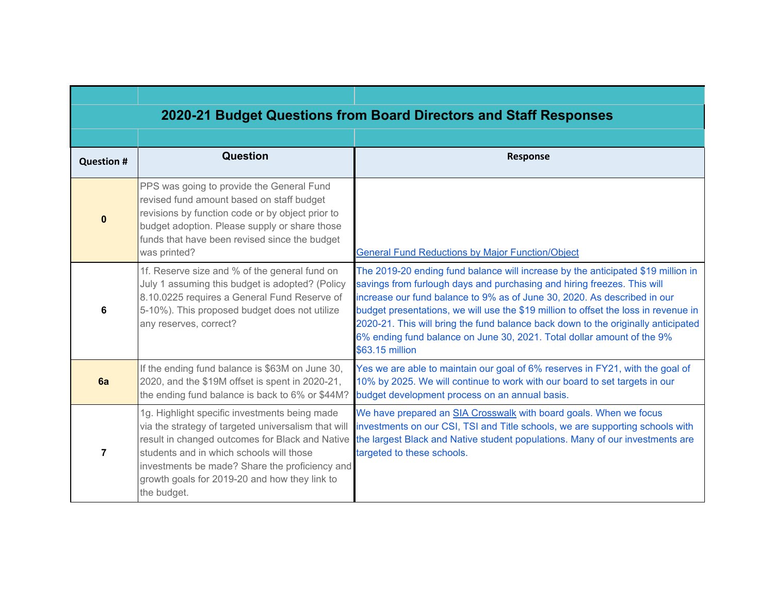|                   | 2020-21 Budget Questions from Board Directors and Staff Responses                                                                                                                                                                                                                                                     |                                                                                                                                                                                                                                                                                                                                                                                                                                                                                                                  |
|-------------------|-----------------------------------------------------------------------------------------------------------------------------------------------------------------------------------------------------------------------------------------------------------------------------------------------------------------------|------------------------------------------------------------------------------------------------------------------------------------------------------------------------------------------------------------------------------------------------------------------------------------------------------------------------------------------------------------------------------------------------------------------------------------------------------------------------------------------------------------------|
|                   |                                                                                                                                                                                                                                                                                                                       |                                                                                                                                                                                                                                                                                                                                                                                                                                                                                                                  |
| <b>Question #</b> | Question                                                                                                                                                                                                                                                                                                              | <b>Response</b>                                                                                                                                                                                                                                                                                                                                                                                                                                                                                                  |
| $\mathbf{0}$      | PPS was going to provide the General Fund<br>revised fund amount based on staff budget<br>revisions by function code or by object prior to<br>budget adoption. Please supply or share those<br>funds that have been revised since the budget<br>was printed?                                                          | <b>General Fund Reductions by Major Function/Object</b>                                                                                                                                                                                                                                                                                                                                                                                                                                                          |
| 6                 | 1f. Reserve size and % of the general fund on<br>July 1 assuming this budget is adopted? (Policy<br>8.10.0225 requires a General Fund Reserve of<br>5-10%). This proposed budget does not utilize<br>any reserves, correct?                                                                                           | The 2019-20 ending fund balance will increase by the anticipated \$19 million in<br>savings from furlough days and purchasing and hiring freezes. This will<br>increase our fund balance to 9% as of June 30, 2020. As described in our<br>budget presentations, we will use the \$19 million to offset the loss in revenue in<br>2020-21. This will bring the fund balance back down to the originally anticipated<br>6% ending fund balance on June 30, 2021. Total dollar amount of the 9%<br>\$63.15 million |
| 6a                | If the ending fund balance is \$63M on June 30,<br>2020, and the \$19M offset is spent in 2020-21,<br>the ending fund balance is back to 6% or \$44M?                                                                                                                                                                 | Yes we are able to maintain our goal of 6% reserves in FY21, with the goal of<br>10% by 2025. We will continue to work with our board to set targets in our<br>budget development process on an annual basis.                                                                                                                                                                                                                                                                                                    |
| $\overline{7}$    | 1g. Highlight specific investments being made<br>via the strategy of targeted universalism that will<br>result in changed outcomes for Black and Native<br>students and in which schools will those<br>investments be made? Share the proficiency and<br>growth goals for 2019-20 and how they link to<br>the budget. | We have prepared an SIA Crosswalk with board goals. When we focus<br>investments on our CSI, TSI and Title schools, we are supporting schools with<br>the largest Black and Native student populations. Many of our investments are<br>targeted to these schools.                                                                                                                                                                                                                                                |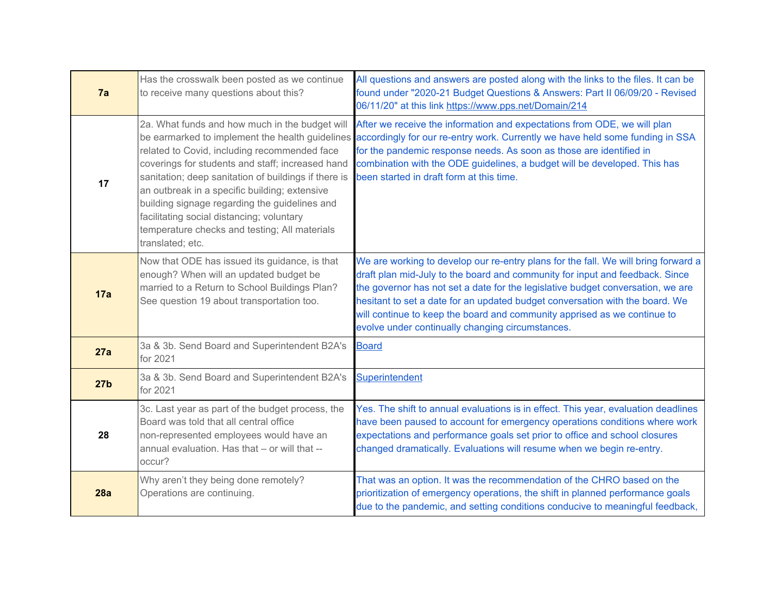| 7a              | Has the crosswalk been posted as we continue<br>to receive many questions about this?                                                                                                                                                                                                                                                                                                                                                                                             | All questions and answers are posted along with the links to the files. It can be<br>found under "2020-21 Budget Questions & Answers: Part II 06/09/20 - Revised<br>06/11/20" at this link https://www.pps.net/Domain/214                                                                                                                                                                                                                                             |
|-----------------|-----------------------------------------------------------------------------------------------------------------------------------------------------------------------------------------------------------------------------------------------------------------------------------------------------------------------------------------------------------------------------------------------------------------------------------------------------------------------------------|-----------------------------------------------------------------------------------------------------------------------------------------------------------------------------------------------------------------------------------------------------------------------------------------------------------------------------------------------------------------------------------------------------------------------------------------------------------------------|
| 17              | 2a. What funds and how much in the budget will<br>be earmarked to implement the health guidelines<br>related to Covid, including recommended face<br>coverings for students and staff; increased hand<br>sanitation; deep sanitation of buildings if there is<br>an outbreak in a specific building; extensive<br>building signage regarding the guidelines and<br>facilitating social distancing; voluntary<br>temperature checks and testing; All materials<br>translated; etc. | After we receive the information and expectations from ODE, we will plan<br>accordingly for our re-entry work. Currently we have held some funding in SSA<br>for the pandemic response needs. As soon as those are identified in<br>combination with the ODE guidelines, a budget will be developed. This has<br>been started in draft form at this time.                                                                                                             |
| 17a             | Now that ODE has issued its guidance, is that<br>enough? When will an updated budget be<br>married to a Return to School Buildings Plan?<br>See question 19 about transportation too.                                                                                                                                                                                                                                                                                             | We are working to develop our re-entry plans for the fall. We will bring forward a<br>draft plan mid-July to the board and community for input and feedback. Since<br>the governor has not set a date for the legislative budget conversation, we are<br>hesitant to set a date for an updated budget conversation with the board. We<br>will continue to keep the board and community apprised as we continue to<br>evolve under continually changing circumstances. |
| 27a             | 3a & 3b. Send Board and Superintendent B2A's<br>for 2021                                                                                                                                                                                                                                                                                                                                                                                                                          | <b>Board</b>                                                                                                                                                                                                                                                                                                                                                                                                                                                          |
| 27 <sub>b</sub> | 3a & 3b. Send Board and Superintendent B2A's<br>for 2021                                                                                                                                                                                                                                                                                                                                                                                                                          | Superintendent                                                                                                                                                                                                                                                                                                                                                                                                                                                        |
| 28              | 3c. Last year as part of the budget process, the<br>Board was told that all central office<br>non-represented employees would have an<br>annual evaluation. Has that - or will that --<br>occur?                                                                                                                                                                                                                                                                                  | Yes. The shift to annual evaluations is in effect. This year, evaluation deadlines<br>have been paused to account for emergency operations conditions where work<br>expectations and performance goals set prior to office and school closures<br>changed dramatically. Evaluations will resume when we begin re-entry.                                                                                                                                               |
| 28a             | Why aren't they being done remotely?<br>Operations are continuing.                                                                                                                                                                                                                                                                                                                                                                                                                | That was an option. It was the recommendation of the CHRO based on the<br>prioritization of emergency operations, the shift in planned performance goals<br>due to the pandemic, and setting conditions conducive to meaningful feedback,                                                                                                                                                                                                                             |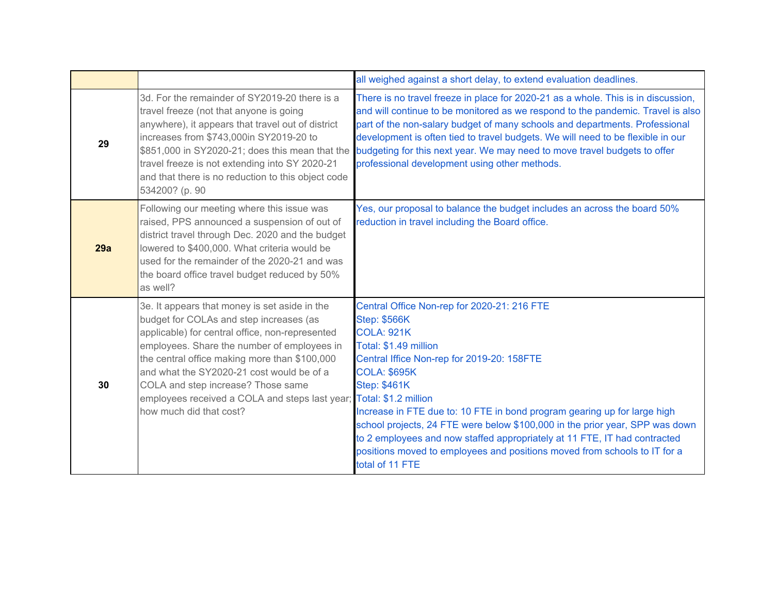|     |                                                                                                                                                                                                                                                                                                                                                                                                                                  | all weighed against a short delay, to extend evaluation deadlines.                                                                                                                                                                                                                                                                                                                                                                                                                                                                                    |
|-----|----------------------------------------------------------------------------------------------------------------------------------------------------------------------------------------------------------------------------------------------------------------------------------------------------------------------------------------------------------------------------------------------------------------------------------|-------------------------------------------------------------------------------------------------------------------------------------------------------------------------------------------------------------------------------------------------------------------------------------------------------------------------------------------------------------------------------------------------------------------------------------------------------------------------------------------------------------------------------------------------------|
| 29  | 3d. For the remainder of SY2019-20 there is a<br>travel freeze (not that anyone is going<br>anywhere), it appears that travel out of district<br>increases from \$743,000in SY2019-20 to<br>\$851,000 in SY2020-21; does this mean that the<br>travel freeze is not extending into SY 2020-21<br>and that there is no reduction to this object code<br>534200? (p. 90                                                            | There is no travel freeze in place for 2020-21 as a whole. This is in discussion,<br>and will continue to be monitored as we respond to the pandemic. Travel is also<br>part of the non-salary budget of many schools and departments. Professional<br>development is often tied to travel budgets. We will need to be flexible in our<br>budgeting for this next year. We may need to move travel budgets to offer<br>professional development using other methods.                                                                                  |
| 29a | Following our meeting where this issue was<br>raised, PPS announced a suspension of out of<br>district travel through Dec. 2020 and the budget<br>lowered to \$400,000. What criteria would be<br>used for the remainder of the 2020-21 and was<br>the board office travel budget reduced by 50%<br>as well?                                                                                                                     | Yes, our proposal to balance the budget includes an across the board 50%<br>reduction in travel including the Board office.                                                                                                                                                                                                                                                                                                                                                                                                                           |
| 30  | 3e. It appears that money is set aside in the<br>budget for COLAs and step increases (as<br>applicable) for central office, non-represented<br>employees. Share the number of employees in<br>the central office making more than \$100,000<br>and what the SY2020-21 cost would be of a<br>COLA and step increase? Those same<br>employees received a COLA and steps last year; Total: \$1.2 million<br>how much did that cost? | Central Office Non-rep for 2020-21: 216 FTE<br><b>Step: \$566K</b><br><b>COLA: 921K</b><br>Total: \$1.49 million<br>Central Iffice Non-rep for 2019-20: 158FTE<br><b>COLA: \$695K</b><br><b>Step: \$461K</b><br>Increase in FTE due to: 10 FTE in bond program gearing up for large high<br>school projects, 24 FTE were below \$100,000 in the prior year, SPP was down<br>to 2 employees and now staffed appropriately at 11 FTE, IT had contracted<br>positions moved to employees and positions moved from schools to IT for a<br>total of 11 FTE |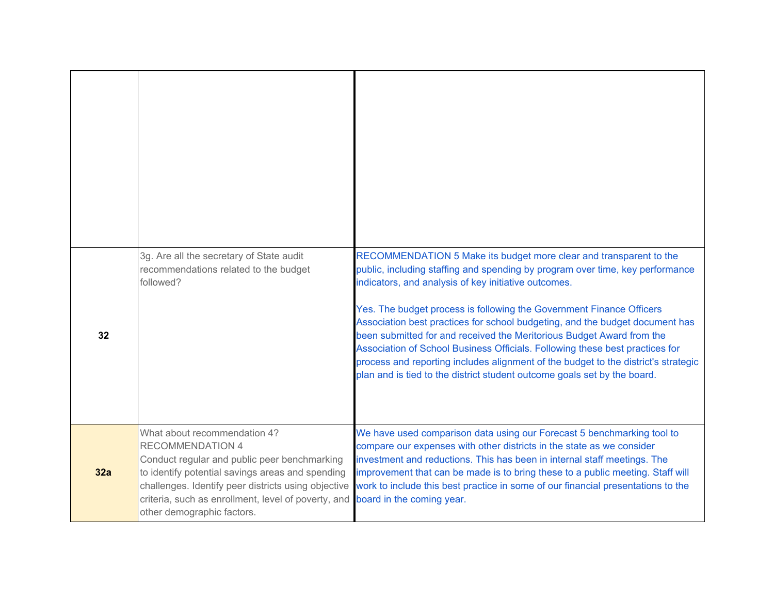| 32  | 3g. Are all the secretary of State audit<br>recommendations related to the budget<br>followed?                                                                                                                                                                                                          | RECOMMENDATION 5 Make its budget more clear and transparent to the<br>public, including staffing and spending by program over time, key performance<br>indicators, and analysis of key initiative outcomes.<br>Yes. The budget process is following the Government Finance Officers<br>Association best practices for school budgeting, and the budget document has<br>been submitted for and received the Meritorious Budget Award from the<br>Association of School Business Officials. Following these best practices for<br>process and reporting includes alignment of the budget to the district's strategic<br>plan and is tied to the district student outcome goals set by the board. |
|-----|---------------------------------------------------------------------------------------------------------------------------------------------------------------------------------------------------------------------------------------------------------------------------------------------------------|------------------------------------------------------------------------------------------------------------------------------------------------------------------------------------------------------------------------------------------------------------------------------------------------------------------------------------------------------------------------------------------------------------------------------------------------------------------------------------------------------------------------------------------------------------------------------------------------------------------------------------------------------------------------------------------------|
| 32a | What about recommendation 4?<br><b>RECOMMENDATION 4</b><br>Conduct regular and public peer benchmarking<br>to identify potential savings areas and spending<br>challenges. Identify peer districts using objective<br>criteria, such as enrollment, level of poverty, and<br>other demographic factors. | We have used comparison data using our Forecast 5 benchmarking tool to<br>compare our expenses with other districts in the state as we consider<br>investment and reductions. This has been in internal staff meetings. The<br>improvement that can be made is to bring these to a public meeting. Staff will<br>work to include this best practice in some of our financial presentations to the<br>board in the coming year.                                                                                                                                                                                                                                                                 |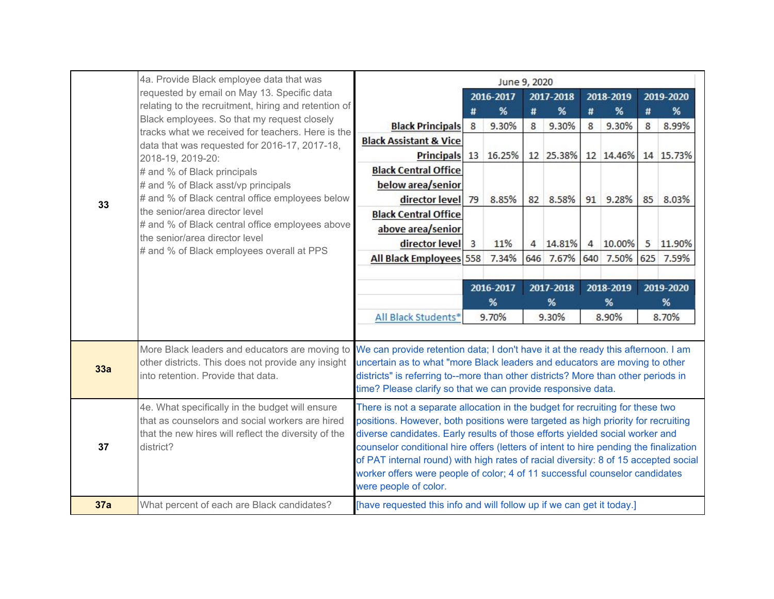|     | 4a. Provide Black employee data that was                                                            | June 9, 2020                                                                                                                                                    |    |                |             |           |       |           |       |           |
|-----|-----------------------------------------------------------------------------------------------------|-----------------------------------------------------------------------------------------------------------------------------------------------------------------|----|----------------|-------------|-----------|-------|-----------|-------|-----------|
|     | requested by email on May 13. Specific data                                                         |                                                                                                                                                                 |    | 2016-2017      |             | 2017-2018 |       | 2018-2019 |       | 2019-2020 |
|     | relating to the recruitment, hiring and retention of<br>Black employees. So that my request closely |                                                                                                                                                                 | Ħ  | %              | #           | %         | Ħ     | %         | #     | %         |
|     | tracks what we received for teachers. Here is the                                                   | <b>Black Principals</b>                                                                                                                                         | 8  | 9.30%          | 8           | 9.30%     | 8     | 9.30%     | 8     | 8.99%     |
|     | data that was requested for 2016-17, 2017-18,                                                       | <b>Black Assistant &amp; Vice</b>                                                                                                                               |    |                |             |           |       |           |       |           |
|     | 2018-19, 2019-20:                                                                                   | <b>Principals</b>                                                                                                                                               |    | 13 16.25%      |             | 12 25.38% |       | 12 14.46% |       | 14 15.73% |
|     | # and % of Black principals                                                                         | <b>Black Central Office</b>                                                                                                                                     |    |                |             |           |       |           |       |           |
|     | # and % of Black asst/vp principals<br># and % of Black central office employees below              | below area/senior<br>director level                                                                                                                             |    |                |             |           |       |           | 85    |           |
| 33  | the senior/area director level                                                                      | <b>Black Central Office</b>                                                                                                                                     | 79 | 8.85%          | 82          | 8.58%     |       | 91 9.28%  |       | 8.03%     |
|     | # and % of Black central office employees above                                                     | above area/senior                                                                                                                                               |    |                |             |           |       |           |       |           |
|     | the senior/area director level                                                                      | director level                                                                                                                                                  | 3  | 11%            | 4           | 14.81%    | 4     | 10.00%    | 5     | 11.90%    |
|     | # and % of Black employees overall at PPS                                                           | All Black Employees 558                                                                                                                                         |    | 7.34%          |             | 646 7.67% | 640   | 7.50%     |       | 625 7.59% |
|     |                                                                                                     |                                                                                                                                                                 |    |                |             |           |       |           |       |           |
|     |                                                                                                     |                                                                                                                                                                 |    | 2016-2017      |             | 2017-2018 |       | 2018-2019 |       | 2019-2020 |
|     |                                                                                                     |                                                                                                                                                                 | %  |                | %<br>%<br>% |           |       |           |       |           |
|     |                                                                                                     | All Black Students*                                                                                                                                             |    | 9.70%<br>9.30% |             |           | 8.90% |           | 8.70% |           |
|     |                                                                                                     |                                                                                                                                                                 |    |                |             |           |       |           |       |           |
|     | More Black leaders and educators are moving to                                                      | We can provide retention data; I don't have it at the ready this afternoon. I am                                                                                |    |                |             |           |       |           |       |           |
| 33a | other districts. This does not provide any insight<br>into retention. Provide that data.            | uncertain as to what "more Black leaders and educators are moving to other<br>districts" is referring to--more than other districts? More than other periods in |    |                |             |           |       |           |       |           |
|     |                                                                                                     | time? Please clarify so that we can provide responsive data.                                                                                                    |    |                |             |           |       |           |       |           |
|     | 4e. What specifically in the budget will ensure                                                     | There is not a separate allocation in the budget for recruiting for these two                                                                                   |    |                |             |           |       |           |       |           |
|     | that as counselors and social workers are hired                                                     | positions. However, both positions were targeted as high priority for recruiting                                                                                |    |                |             |           |       |           |       |           |
|     | that the new hires will reflect the diversity of the                                                | diverse candidates. Early results of those efforts yielded social worker and                                                                                    |    |                |             |           |       |           |       |           |
| 37  | district?                                                                                           | counselor conditional hire offers (letters of intent to hire pending the finalization                                                                           |    |                |             |           |       |           |       |           |
|     |                                                                                                     | of PAT internal round) with high rates of racial diversity: 8 of 15 accepted social                                                                             |    |                |             |           |       |           |       |           |
|     |                                                                                                     | worker offers were people of color; 4 of 11 successful counselor candidates<br>were people of color.                                                            |    |                |             |           |       |           |       |           |
| 37a | What percent of each are Black candidates?                                                          | [have requested this info and will follow up if we can get it today.]                                                                                           |    |                |             |           |       |           |       |           |
|     |                                                                                                     |                                                                                                                                                                 |    |                |             |           |       |           |       |           |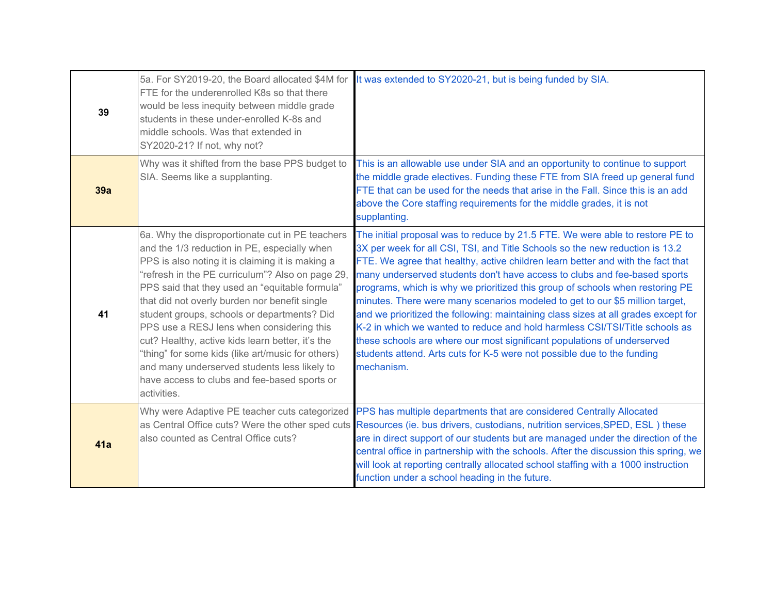| 39  | 5a. For SY2019-20, the Board allocated \$4M for<br>FTE for the underenrolled K8s so that there<br>would be less inequity between middle grade<br>students in these under-enrolled K-8s and<br>middle schools. Was that extended in<br>SY2020-21? If not, why not?                                                                                                                                                                                                                                                                                                                                                              | It was extended to SY2020-21, but is being funded by SIA.                                                                                                                                                                                                                                                                                                                                                                                                                                                                                                                                                                                                                                                                                                                                                                               |
|-----|--------------------------------------------------------------------------------------------------------------------------------------------------------------------------------------------------------------------------------------------------------------------------------------------------------------------------------------------------------------------------------------------------------------------------------------------------------------------------------------------------------------------------------------------------------------------------------------------------------------------------------|-----------------------------------------------------------------------------------------------------------------------------------------------------------------------------------------------------------------------------------------------------------------------------------------------------------------------------------------------------------------------------------------------------------------------------------------------------------------------------------------------------------------------------------------------------------------------------------------------------------------------------------------------------------------------------------------------------------------------------------------------------------------------------------------------------------------------------------------|
| 39a | Why was it shifted from the base PPS budget to<br>SIA. Seems like a supplanting.                                                                                                                                                                                                                                                                                                                                                                                                                                                                                                                                               | This is an allowable use under SIA and an opportunity to continue to support<br>the middle grade electives. Funding these FTE from SIA freed up general fund<br>FTE that can be used for the needs that arise in the Fall. Since this is an add<br>above the Core staffing requirements for the middle grades, it is not<br>supplanting.                                                                                                                                                                                                                                                                                                                                                                                                                                                                                                |
| 41  | 6a. Why the disproportionate cut in PE teachers<br>and the 1/3 reduction in PE, especially when<br>PPS is also noting it is claiming it is making a<br>"refresh in the PE curriculum"? Also on page 29,<br>PPS said that they used an "equitable formula"<br>that did not overly burden nor benefit single<br>student groups, schools or departments? Did<br>PPS use a RESJ lens when considering this<br>cut? Healthy, active kids learn better, it's the<br>"thing" for some kids (like art/music for others)<br>and many underserved students less likely to<br>have access to clubs and fee-based sports or<br>activities. | The initial proposal was to reduce by 21.5 FTE. We were able to restore PE to<br>3X per week for all CSI, TSI, and Title Schools so the new reduction is 13.2<br>FTE. We agree that healthy, active children learn better and with the fact that<br>many underserved students don't have access to clubs and fee-based sports<br>programs, which is why we prioritized this group of schools when restoring PE<br>minutes. There were many scenarios modeled to get to our \$5 million target,<br>and we prioritized the following: maintaining class sizes at all grades except for<br>K-2 in which we wanted to reduce and hold harmless CSI/TSI/Title schools as<br>these schools are where our most significant populations of underserved<br>students attend. Arts cuts for K-5 were not possible due to the funding<br>mechanism. |
| 41a | Why were Adaptive PE teacher cuts categorized<br>also counted as Central Office cuts?                                                                                                                                                                                                                                                                                                                                                                                                                                                                                                                                          | PPS has multiple departments that are considered Centrally Allocated<br>as Central Office cuts? Were the other sped cuts Resources (ie. bus drivers, custodians, nutrition services, SPED, ESL) these<br>are in direct support of our students but are managed under the direction of the<br>central office in partnership with the schools. After the discussion this spring, we<br>will look at reporting centrally allocated school staffing with a 1000 instruction<br>function under a school heading in the future.                                                                                                                                                                                                                                                                                                               |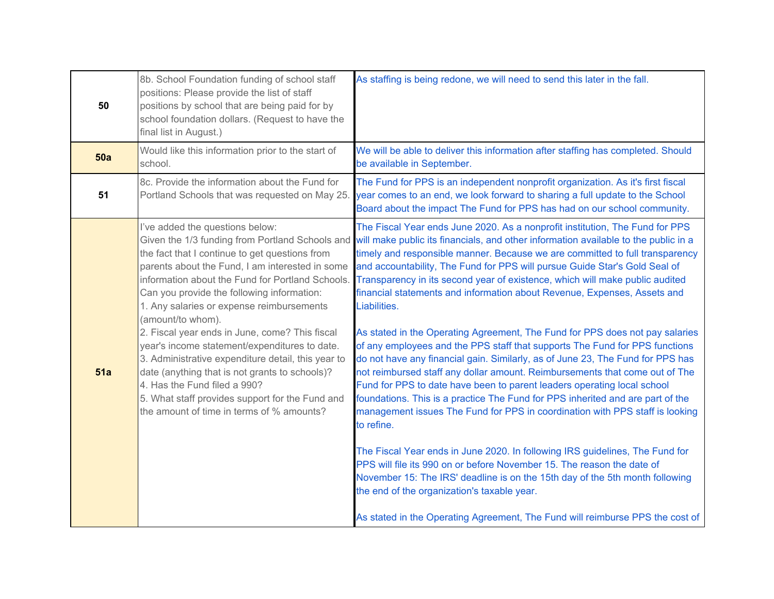| 50  | 8b. School Foundation funding of school staff<br>positions: Please provide the list of staff<br>positions by school that are being paid for by<br>school foundation dollars. (Request to have the<br>final list in August.)                                                                                                                                                                                                                                                                                                                                                                                                                         | As staffing is being redone, we will need to send this later in the fall.                                                                                                                                                                                                                                                                                                                                                                                                                                                                                                                                                                                                                                                                                                                                                                                                                                                                                                                                                                                                                                                                                                                                                                                                                                                                                                                                                                                                                                                          |  |  |  |
|-----|-----------------------------------------------------------------------------------------------------------------------------------------------------------------------------------------------------------------------------------------------------------------------------------------------------------------------------------------------------------------------------------------------------------------------------------------------------------------------------------------------------------------------------------------------------------------------------------------------------------------------------------------------------|------------------------------------------------------------------------------------------------------------------------------------------------------------------------------------------------------------------------------------------------------------------------------------------------------------------------------------------------------------------------------------------------------------------------------------------------------------------------------------------------------------------------------------------------------------------------------------------------------------------------------------------------------------------------------------------------------------------------------------------------------------------------------------------------------------------------------------------------------------------------------------------------------------------------------------------------------------------------------------------------------------------------------------------------------------------------------------------------------------------------------------------------------------------------------------------------------------------------------------------------------------------------------------------------------------------------------------------------------------------------------------------------------------------------------------------------------------------------------------------------------------------------------------|--|--|--|
| 50a | Would like this information prior to the start of<br>school.                                                                                                                                                                                                                                                                                                                                                                                                                                                                                                                                                                                        | We will be able to deliver this information after staffing has completed. Should<br>be available in September.                                                                                                                                                                                                                                                                                                                                                                                                                                                                                                                                                                                                                                                                                                                                                                                                                                                                                                                                                                                                                                                                                                                                                                                                                                                                                                                                                                                                                     |  |  |  |
| 51  | 8c. Provide the information about the Fund for<br>Portland Schools that was requested on May 25.                                                                                                                                                                                                                                                                                                                                                                                                                                                                                                                                                    | The Fund for PPS is an independent nonprofit organization. As it's first fiscal<br>year comes to an end, we look forward to sharing a full update to the School<br>Board about the impact The Fund for PPS has had on our school community.                                                                                                                                                                                                                                                                                                                                                                                                                                                                                                                                                                                                                                                                                                                                                                                                                                                                                                                                                                                                                                                                                                                                                                                                                                                                                        |  |  |  |
| 51a | I've added the questions below:<br>the fact that I continue to get questions from<br>parents about the Fund, I am interested in some<br>information about the Fund for Portland Schools.<br>Can you provide the following information:<br>1. Any salaries or expense reimbursements<br>(amount/to whom).<br>2. Fiscal year ends in June, come? This fiscal<br>year's income statement/expenditures to date.<br>3. Administrative expenditure detail, this year to<br>date (anything that is not grants to schools)?<br>4. Has the Fund filed a 990?<br>5. What staff provides support for the Fund and<br>the amount of time in terms of % amounts? | The Fiscal Year ends June 2020. As a nonprofit institution, The Fund for PPS<br>Given the 1/3 funding from Portland Schools and will make public its financials, and other information available to the public in a<br>timely and responsible manner. Because we are committed to full transparency<br>and accountability, The Fund for PPS will pursue Guide Star's Gold Seal of<br>Transparency in its second year of existence, which will make public audited<br>financial statements and information about Revenue, Expenses, Assets and<br>Liabilities.<br>As stated in the Operating Agreement, The Fund for PPS does not pay salaries<br>of any employees and the PPS staff that supports The Fund for PPS functions<br>do not have any financial gain. Similarly, as of June 23, The Fund for PPS has<br>not reimbursed staff any dollar amount. Reimbursements that come out of The<br>Fund for PPS to date have been to parent leaders operating local school<br>foundations. This is a practice The Fund for PPS inherited and are part of the<br>management issues The Fund for PPS in coordination with PPS staff is looking<br>to refine.<br>The Fiscal Year ends in June 2020. In following IRS guidelines, The Fund for<br>PPS will file its 990 on or before November 15. The reason the date of<br>November 15: The IRS' deadline is on the 15th day of the 5th month following<br>the end of the organization's taxable year.<br>As stated in the Operating Agreement, The Fund will reimburse PPS the cost of |  |  |  |